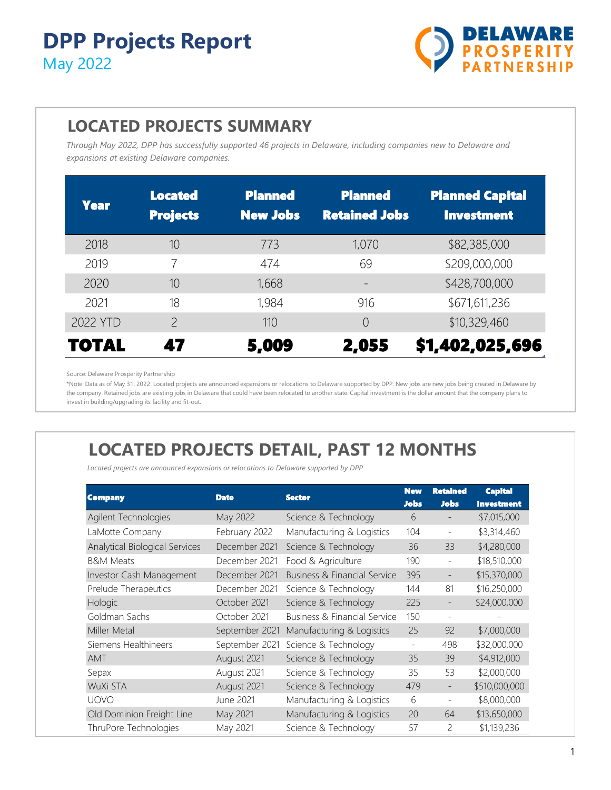

#### **LOCATED PROJECTS SUMMARY**

*Through May 2022, DPP has successfully supported 46 projects in Delaware, including companies new to Delaware and expansions at existing Delaware companies.*

| <b>Year</b>  | <b>Located</b><br><b>Projects</b> | <b>Planned</b><br><b>New Jobs</b> | <b>Planned</b><br><b>Retained Jobs</b> | <b>Planned Capital</b><br><b>Investment</b> |
|--------------|-----------------------------------|-----------------------------------|----------------------------------------|---------------------------------------------|
| 2018         | 10                                | 773                               | 1,070                                  | \$82,385,000                                |
| 2019         |                                   | 474                               | 69                                     | \$209,000,000                               |
| 2020         | 10                                | 1,668                             |                                        | \$428,700,000                               |
| 2021         | 18                                | 1,984                             | 916                                    | \$671,611,236                               |
| 2022 YTD     | $\mathcal{P}$                     | 110                               | $\Omega$                               | \$10,329,460                                |
| <b>TOTAL</b> | 47                                | 5,009                             | 2,055                                  | \$1,402,025,696                             |

Source: Delaware Prosperity Partnership

\*Note: Data as of May 31, 2022. Located projects are announced expansions or relocations to Delaware supported by DPP. New jobs are new jobs being created in Delaware by the company. Retained jobs are existing jobs in Delaware that could have been relocated to another state. Capital investment is the dollar amount that the company plans to invest in building/upgrading its facility and fit-out.

# **LOCATED PROJECTS DETAIL, PAST 12 MONTHS**

*Located projects are announced expansions or relocations to Delaware supported by DPP*

| Company                        | <b>Date</b>    | <b>Sector</b>                           | <b>New</b><br><b>Jobs</b> | <b>Retained</b><br><b>Jobs</b> | <b>Capital</b><br><b>Investment</b> |
|--------------------------------|----------------|-----------------------------------------|---------------------------|--------------------------------|-------------------------------------|
| Agilent Technologies           | May 2022       | Science & Technology                    | 6                         |                                | \$7,015,000                         |
| LaMotte Company                | February 2022  | Manufacturing & Logistics               | 104                       | $\overline{\phantom{a}}$       | \$3,314,460                         |
| Analytical Biological Services | December 2021  | Science & Technology                    | 36                        | 33                             | \$4,280,000                         |
| <b>B&amp;M Meats</b>           | December 2021  | Food & Agriculture                      | 190                       | $\overline{\phantom{a}}$       | \$18,510,000                        |
| Investor Cash Management       | December 2021  | Business & Financial Service            | 395                       | $\overline{\phantom{a}}$       | \$15,370,000                        |
| Prelude Therapeutics           | December 2021  | Science & Technology                    | 144                       | 81                             | \$16,250,000                        |
| Hologic                        | October 2021   | Science & Technology                    | 225                       |                                | \$24,000,000                        |
| Goldman Sachs                  | October 2021   | <b>Business &amp; Financial Service</b> | 150                       |                                |                                     |
| Miller Metal                   | September 2021 | Manufacturing & Logistics               | 25                        | 92                             | \$7,000,000                         |
| Siemens Healthineers           | September 2021 | Science & Technology                    | $\qquad \qquad -$         | 498                            | \$32,000,000                        |
| <b>AMT</b>                     | August 2021    | Science & Technology                    | 35                        | 39                             | \$4,912,000                         |
| Sepax                          | August 2021    | Science & Technology                    | 35                        | 53                             | \$2,000,000                         |
| WuXi STA                       | August 2021    | Science & Technology                    | 479                       | $\overline{\phantom{a}}$       | \$510,000,000                       |
| <b>UOVO</b>                    | June 2021      | Manufacturing & Logistics               | 6                         | $\overline{\phantom{a}}$       | \$8,000,000                         |
| Old Dominion Freight Line      | May 2021       | Manufacturing & Logistics               | 20                        | 64                             | \$13,650,000                        |
| ThruPore Technologies          | May 2021       | Science & Technology                    | 57                        | 2                              | \$1,139,236                         |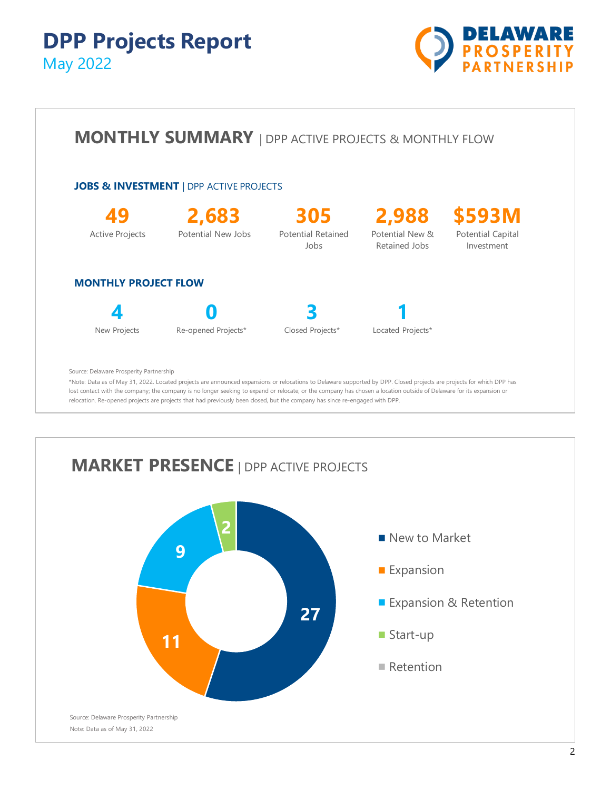



lost contact with the company; the company is no longer seeking to expand or relocate; or the company has chosen a location outside of Delaware for its expansion or relocation. Re-opened projects are projects that had previously been closed, but the company has since re-engaged with DPP.

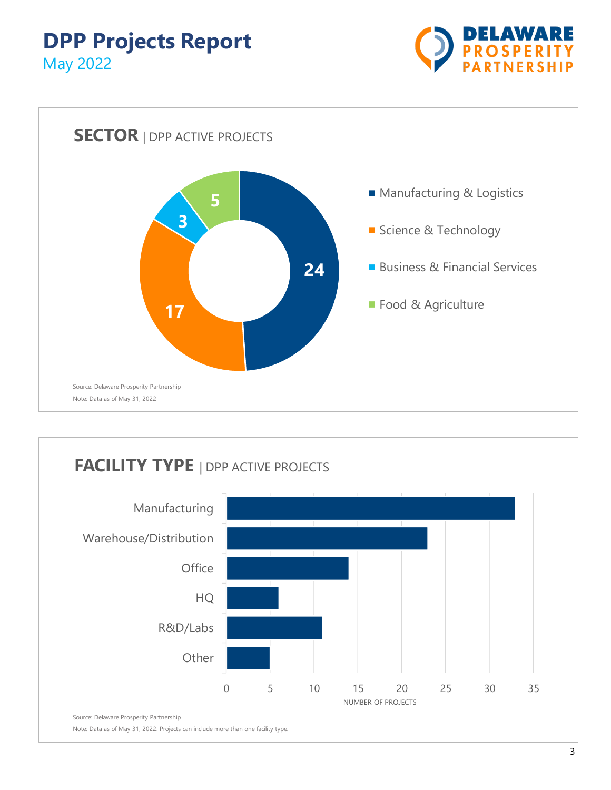



# **FACILITY TYPE** | DPP ACTIVE PROJECTS

![](_page_2_Figure_4.jpeg)

Note: Data as of May 31, 2022. Projects can include more than one facility type.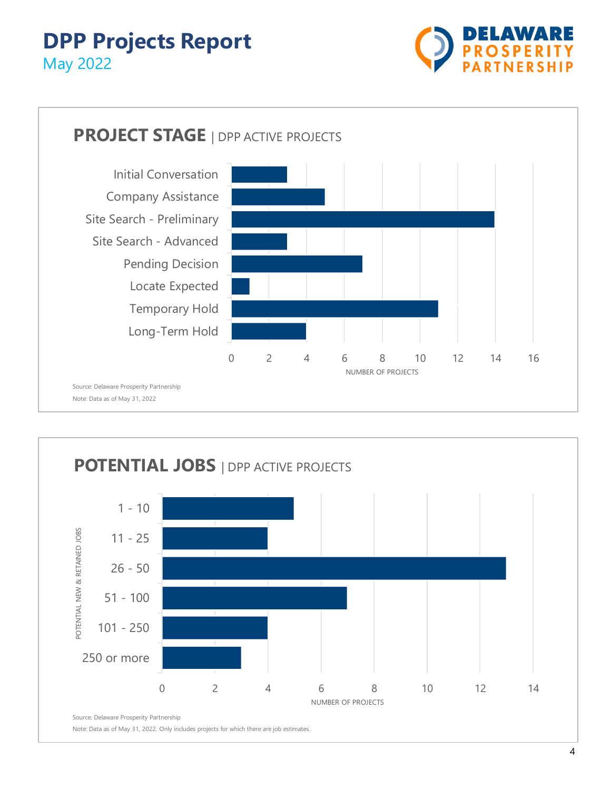![](_page_3_Picture_1.jpeg)

![](_page_3_Figure_2.jpeg)

![](_page_3_Figure_3.jpeg)

Note: Data as of May 31, 2022. Only includes projects for which there are job estimates.